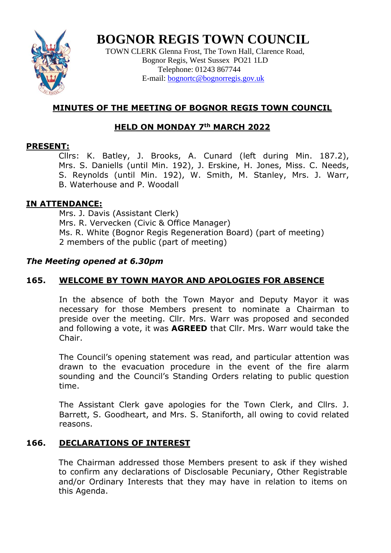

**BOGNOR REGIS TOWN COUNCIL**

TOWN CLERK Glenna Frost, The Town Hall, Clarence Road, Bognor Regis, West Sussex PO21 1LD Telephone: 01243 867744 E-mail: **bognortc@bognorregis.gov.uk** 

# **MINUTES OF THE MEETING OF BOGNOR REGIS TOWN COUNCIL**

# **HELD ON MONDAY 7th MARCH 2022**

# **PRESENT:**

Cllrs: K. Batley, J. Brooks, A. Cunard (left during Min. 187.2), Mrs. S. Daniells (until Min. 192), J. Erskine, H. Jones, Miss. C. Needs, S. Reynolds (until Min. 192), W. Smith, M. Stanley, Mrs. J. Warr, B. Waterhouse and P. Woodall

# **IN ATTENDANCE:**

Mrs. J. Davis (Assistant Clerk) Mrs. R. Vervecken (Civic & Office Manager) Ms. R. White (Bognor Regis Regeneration Board) (part of meeting) 2 members of the public (part of meeting)

# *The Meeting opened at 6.30pm*

# **165. WELCOME BY TOWN MAYOR AND APOLOGIES FOR ABSENCE**

In the absence of both the Town Mayor and Deputy Mayor it was necessary for those Members present to nominate a Chairman to preside over the meeting. Cllr. Mrs. Warr was proposed and seconded and following a vote, it was **AGREED** that Cllr. Mrs. Warr would take the Chair.

The Council's opening statement was read, and particular attention was drawn to the evacuation procedure in the event of the fire alarm sounding and the Council's Standing Orders relating to public question time.

The Assistant Clerk gave apologies for the Town Clerk, and Cllrs. J. Barrett, S. Goodheart, and Mrs. S. Staniforth, all owing to covid related reasons.

# **166. DECLARATIONS OF INTEREST**

The Chairman addressed those Members present to ask if they wished to confirm any declarations of Disclosable Pecuniary, Other Registrable and/or Ordinary Interests that they may have in relation to items on this Agenda.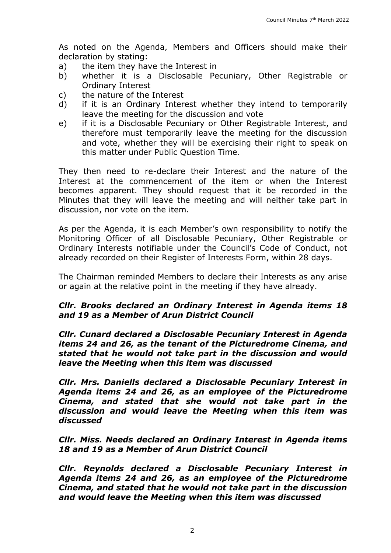As noted on the Agenda, Members and Officers should make their declaration by stating:

- a) the item they have the Interest in
- b) whether it is a Disclosable Pecuniary, Other Registrable or Ordinary Interest
- c) the nature of the Interest
- d) if it is an Ordinary Interest whether they intend to temporarily leave the meeting for the discussion and vote
- e) if it is a Disclosable Pecuniary or Other Registrable Interest, and therefore must temporarily leave the meeting for the discussion and vote, whether they will be exercising their right to speak on this matter under Public Question Time.

They then need to re-declare their Interest and the nature of the Interest at the commencement of the item or when the Interest becomes apparent. They should request that it be recorded in the Minutes that they will leave the meeting and will neither take part in discussion, nor vote on the item.

As per the Agenda, it is each Member's own responsibility to notify the Monitoring Officer of all Disclosable Pecuniary, Other Registrable or Ordinary Interests notifiable under the Council's Code of Conduct, not already recorded on their Register of Interests Form, within 28 days.

The Chairman reminded Members to declare their Interests as any arise or again at the relative point in the meeting if they have already.

# *Cllr. Brooks declared an Ordinary Interest in Agenda items 18 and 19 as a Member of Arun District Council*

*Cllr. Cunard declared a Disclosable Pecuniary Interest in Agenda items 24 and 26, as the tenant of the Picturedrome Cinema, and stated that he would not take part in the discussion and would leave the Meeting when this item was discussed*

*Cllr. Mrs. Daniells declared a Disclosable Pecuniary Interest in Agenda items 24 and 26, as an employee of the Picturedrome Cinema, and stated that she would not take part in the discussion and would leave the Meeting when this item was discussed*

### *Cllr. Miss. Needs declared an Ordinary Interest in Agenda items 18 and 19 as a Member of Arun District Council*

*Cllr. Reynolds declared a Disclosable Pecuniary Interest in Agenda items 24 and 26, as an employee of the Picturedrome Cinema, and stated that he would not take part in the discussion and would leave the Meeting when this item was discussed*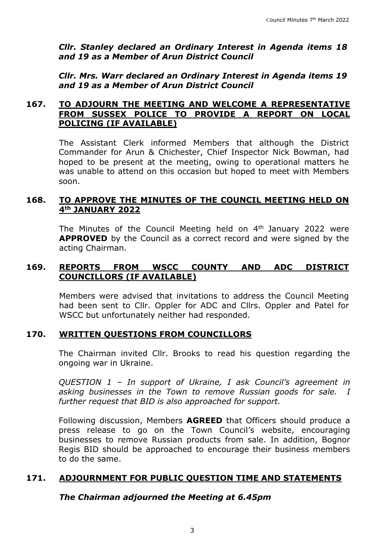*Cllr. Stanley declared an Ordinary Interest in Agenda items 18 and 19 as a Member of Arun District Council*

*Cllr. Mrs. Warr declared an Ordinary Interest in Agenda items 19 and 19 as a Member of Arun District Council*

#### **167. TO ADJOURN THE MEETING AND WELCOME A REPRESENTATIVE FROM SUSSEX POLICE TO PROVIDE A REPORT ON LOCAL POLICING (IF AVAILABLE)**

The Assistant Clerk informed Members that although the District Commander for Arun & Chichester, Chief Inspector Nick Bowman, had hoped to be present at the meeting, owing to operational matters he was unable to attend on this occasion but hoped to meet with Members soon.

#### **168. TO APPROVE THE MINUTES OF THE COUNCIL MEETING HELD ON 4th JANUARY 2022**

The Minutes of the Council Meeting held on 4<sup>th</sup> January 2022 were **APPROVED** by the Council as a correct record and were signed by the acting Chairman.

#### **169. REPORTS FROM WSCC COUNTY AND ADC DISTRICT COUNCILLORS (IF AVAILABLE)**

Members were advised that invitations to address the Council Meeting had been sent to Cllr. Oppler for ADC and Cllrs. Oppler and Patel for WSCC but unfortunately neither had responded.

#### **170. WRITTEN QUESTIONS FROM COUNCILLORS**

The Chairman invited Cllr. Brooks to read his question regarding the ongoing war in Ukraine.

*QUESTION 1 – In support of Ukraine, I ask Council's agreement in asking businesses in the Town to remove Russian goods for sale. I further request that BID is also approached for support.* 

Following discussion, Members **AGREED** that Officers should produce a press release to go on the Town Council's website, encouraging businesses to remove Russian products from sale. In addition, Bognor Regis BID should be approached to encourage their business members to do the same.

### **171. ADJOURNMENT FOR PUBLIC QUESTION TIME AND STATEMENTS**

*The Chairman adjourned the Meeting at 6.45pm*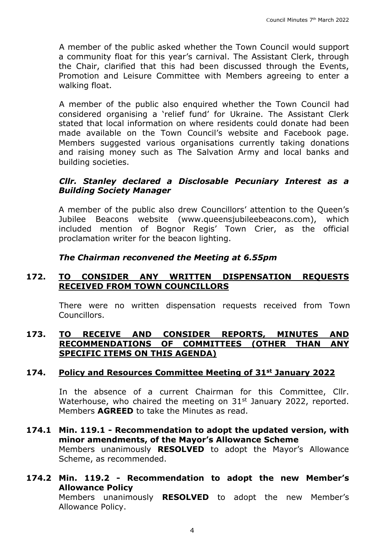A member of the public asked whether the Town Council would support a community float for this year's carnival. The Assistant Clerk, through the Chair, clarified that this had been discussed through the Events, Promotion and Leisure Committee with Members agreeing to enter a walking float.

A member of the public also enquired whether the Town Council had considered organising a 'relief fund' for Ukraine. The Assistant Clerk stated that local information on where residents could donate had been made available on the Town Council's website and Facebook page. Members suggested various organisations currently taking donations and raising money such as The Salvation Army and local banks and building societies.

#### *Cllr. Stanley declared a Disclosable Pecuniary Interest as a Building Society Manager*

A member of the public also drew Councillors' attention to the Queen's Jubilee Beacons website (www.queensjubileebeacons.com), which included mention of Bognor Regis' Town Crier, as the official proclamation writer for the beacon lighting.

#### *The Chairman reconvened the Meeting at 6.55pm*

#### **172. TO CONSIDER ANY WRITTEN DISPENSATION REQUESTS RECEIVED FROM TOWN COUNCILLORS**

There were no written dispensation requests received from Town Councillors.

#### **173. TO RECEIVE AND CONSIDER REPORTS, MINUTES AND RECOMMENDATIONS OF COMMITTEES (OTHER THAN ANY SPECIFIC ITEMS ON THIS AGENDA)**

#### **174. Policy and Resources Committee Meeting of 31st January 2022**

In the absence of a current Chairman for this Committee, Cllr. Waterhouse, who chaired the meeting on 31<sup>st</sup> January 2022, reported. Members **AGREED** to take the Minutes as read.

# **174.1 Min. 119.1 - Recommendation to adopt the updated version, with minor amendments, of the Mayor's Allowance Scheme**

Members unanimously **RESOLVED** to adopt the Mayor's Allowance Scheme, as recommended.

### **174.2 Min. 119.2 - Recommendation to adopt the new Member's Allowance Policy**

Members unanimously **RESOLVED** to adopt the new Member's Allowance Policy.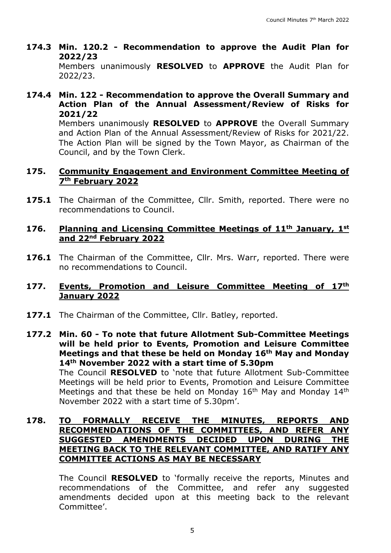- **174.3 Min. 120.2 - Recommendation to approve the Audit Plan for 2022/23**  Members unanimously **RESOLVED** to **APPROVE** the Audit Plan for 2022/23.
- **174.4 Min. 122 - Recommendation to approve the Overall Summary and Action Plan of the Annual Assessment/Review of Risks for 2021/22**

Members unanimously **RESOLVED** to **APPROVE** the Overall Summary and Action Plan of the Annual Assessment/Review of Risks for 2021/22. The Action Plan will be signed by the Town Mayor, as Chairman of the Council, and by the Town Clerk.

### **175. Community Engagement and Environment Committee Meeting of 7th February 2022**

**175.1** The Chairman of the Committee, Cllr. Smith, reported. There were no recommendations to Council.

#### **176. Planning and Licensing Committee Meetings of 11th January, 1st and 22nd February 2022**

**176.1** The Chairman of the Committee, Cllr. Mrs. Warr, reported. There were no recommendations to Council.

#### **177. Events, Promotion and Leisure Committee Meeting of 17th January 2022**

177.1 The Chairman of the Committee, Cllr. Batley, reported.

**177.2 Min. 60 - To note that future Allotment Sub-Committee Meetings will be held prior to Events, Promotion and Leisure Committee Meetings and that these be held on Monday 16th May and Monday 14th November 2022 with a start time of 5.30pm**

The Council **RESOLVED** to 'note that future Allotment Sub-Committee Meetings will be held prior to Events, Promotion and Leisure Committee Meetings and that these be held on Monday  $16<sup>th</sup>$  May and Monday  $14<sup>th</sup>$ November 2022 with a start time of 5.30pm'.

## **178. TO FORMALLY RECEIVE THE MINUTES, REPORTS AND RECOMMENDATIONS OF THE COMMITTEES, AND REFER ANY SUGGESTED AMENDMENTS DECIDED UPON DURING THE MEETING BACK TO THE RELEVANT COMMITTEE, AND RATIFY ANY COMMITTEE ACTIONS AS MAY BE NECESSARY**

The Council **RESOLVED** to 'formally receive the reports, Minutes and recommendations of the Committee, and refer any suggested amendments decided upon at this meeting back to the relevant Committee'.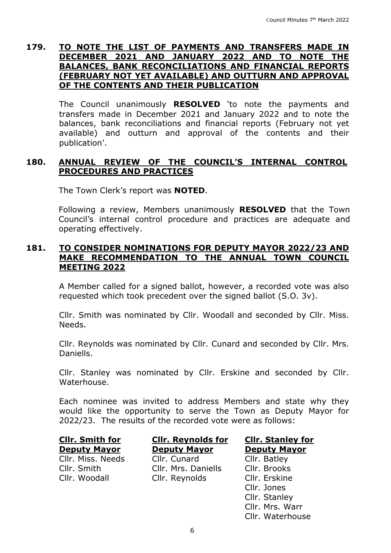#### **179. TO NOTE THE LIST OF PAYMENTS AND TRANSFERS MADE IN DECEMBER 2021 AND JANUARY 2022 AND TO NOTE THE BALANCES, BANK RECONCILIATIONS AND FINANCIAL REPORTS (FEBRUARY NOT YET AVAILABLE) AND OUTTURN AND APPROVAL OF THE CONTENTS AND THEIR PUBLICATION**

The Council unanimously **RESOLVED** 'to note the payments and transfers made in December 2021 and January 2022 and to note the balances, bank reconciliations and financial reports (February not yet available) and outturn and approval of the contents and their publication'.

#### **180. ANNUAL REVIEW OF THE COUNCIL'S INTERNAL CONTROL PROCEDURES AND PRACTICES**

The Town Clerk's report was **NOTED**.

Following a review, Members unanimously **RESOLVED** that the Town Council's internal control procedure and practices are adequate and operating effectively.

#### **181. TO CONSIDER NOMINATIONS FOR DEPUTY MAYOR 2022/23 AND MAKE RECOMMENDATION TO THE ANNUAL TOWN COUNCIL MEETING 2022**

A Member called for a signed ballot, however, a recorded vote was also requested which took precedent over the signed ballot (S.O. 3v).

Cllr. Smith was nominated by Cllr. Woodall and seconded by Cllr. Miss. Needs.

Cllr. Reynolds was nominated by Cllr. Cunard and seconded by Cllr. Mrs. Daniells.

Cllr. Stanley was nominated by Cllr. Erskine and seconded by Cllr. Waterhouse.

Each nominee was invited to address Members and state why they would like the opportunity to serve the Town as Deputy Mayor for 2022/23. The results of the recorded vote were as follows:

# **Cllr. Smith for Deputy Mayor**

Cllr. Woodall Cllr. Reynolds Cllr. Erskine

**Cllr. Reynolds for Deputy Mayor** Cllr. Miss. Needs Cllr. Cunard Cllr. Batley Cllr. Smith Cllr. Mrs. Daniells Cllr. Brooks

**Cllr. Stanley for Deputy Mayor**

Cllr. Jones Cllr. Stanley Cllr. Mrs. Warr Cllr. Waterhouse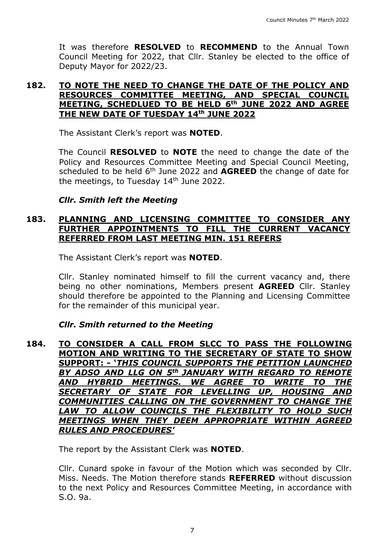It was therefore **RESOLVED** to **RECOMMEND** to the Annual Town Council Meeting for 2022, that Cllr. Stanley be elected to the office of Deputy Mayor for 2022/23.

#### **182. TO NOTE THE NEED TO CHANGE THE DATE OF THE POLICY AND RESOURCES COMMITTEE MEETING, AND SPECIAL COUNCIL MEETING, SCHEDLUED TO BE HELD 6th JUNE 2022 AND AGREE THE NEW DATE OF TUESDAY 14th JUNE 2022**

The Assistant Clerk's report was **NOTED**.

The Council **RESOLVED** to **NOTE** the need to change the date of the Policy and Resources Committee Meeting and Special Council Meeting, scheduled to be held 6th June 2022 and **AGREED** the change of date for the meetings, to Tuesday 14<sup>th</sup> June 2022.

#### *Cllr. Smith left the Meeting*

#### **183. PLANNING AND LICENSING COMMITTEE TO CONSIDER ANY FURTHER APPOINTMENTS TO FILL THE CURRENT VACANCY REFERRED FROM LAST MEETING MIN. 151 REFERS**

The Assistant Clerk's report was **NOTED**.

Cllr. Stanley nominated himself to fill the current vacancy and, there being no other nominations, Members present **AGREED** Cllr. Stanley should therefore be appointed to the Planning and Licensing Committee for the remainder of this municipal year.

### *Cllr. Smith returned to the Meeting*

#### **184. TO CONSIDER A CALL FROM SLCC TO PASS THE FOLLOWING MOTION AND WRITING TO THE SECRETARY OF STATE TO SHOW SUPPORT: - '***THIS COUNCIL SUPPORTS THE PETITION LAUNCHED BY ADSO AND LLG ON 5th JANUARY WITH REGARD TO REMOTE AND HYBRID MEETINGS. WE AGREE TO WRITE TO THE SECRETARY OF STATE FOR LEVELLING UP, HOUSING AND COMMUNITIES CALLING ON THE GOVERNMENT TO CHANGE THE LAW TO ALLOW COUNCILS THE FLEXIBILITY TO HOLD SUCH MEETINGS WHEN THEY DEEM APPROPRIATE WITHIN AGREED RULES AND PROCEDURES'*

The report by the Assistant Clerk was **NOTED**.

Cllr. Cunard spoke in favour of the Motion which was seconded by Cllr. Miss. Needs. The Motion therefore stands **REFERRED** without discussion to the next Policy and Resources Committee Meeting, in accordance with S.O. 9a.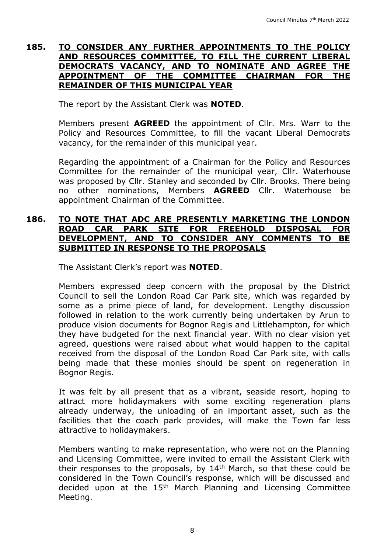#### **185. TO CONSIDER ANY FURTHER APPOINTMENTS TO THE POLICY AND RESOURCES COMMITTEE, TO FILL THE CURRENT LIBERAL DEMOCRATS VACANCY, AND TO NOMINATE AND AGREE THE APPOINTMENT OF THE COMMITTEE CHAIRMAN FOR THE REMAINDER OF THIS MUNICIPAL YEAR**

The report by the Assistant Clerk was **NOTED**.

Members present **AGREED** the appointment of Cllr. Mrs. Warr to the Policy and Resources Committee, to fill the vacant Liberal Democrats vacancy, for the remainder of this municipal year.

Regarding the appointment of a Chairman for the Policy and Resources Committee for the remainder of the municipal year, Cllr. Waterhouse was proposed by Cllr. Stanley and seconded by Cllr. Brooks. There being no other nominations, Members **AGREED** Cllr. Waterhouse be appointment Chairman of the Committee.

#### **186. TO NOTE THAT ADC ARE PRESENTLY MARKETING THE LONDON ROAD CAR PARK SITE FOR FREEHOLD DISPOSAL FOR DEVELOPMENT, AND TO CONSIDER ANY COMMENTS TO BE SUBMITTED IN RESPONSE TO THE PROPOSALS**

The Assistant Clerk's report was **NOTED**.

Members expressed deep concern with the proposal by the District Council to sell the London Road Car Park site, which was regarded by some as a prime piece of land, for development. Lengthy discussion followed in relation to the work currently being undertaken by Arun to produce vision documents for Bognor Regis and Littlehampton, for which they have budgeted for the next financial year. With no clear vision yet agreed, questions were raised about what would happen to the capital received from the disposal of the London Road Car Park site, with calls being made that these monies should be spent on regeneration in Bognor Regis.

It was felt by all present that as a vibrant, seaside resort, hoping to attract more holidaymakers with some exciting regeneration plans already underway, the unloading of an important asset, such as the facilities that the coach park provides, will make the Town far less attractive to holidaymakers.

Members wanting to make representation, who were not on the Planning and Licensing Committee, were invited to email the Assistant Clerk with their responses to the proposals, by  $14<sup>th</sup>$  March, so that these could be considered in the Town Council's response, which will be discussed and decided upon at the 15th March Planning and Licensing Committee Meeting.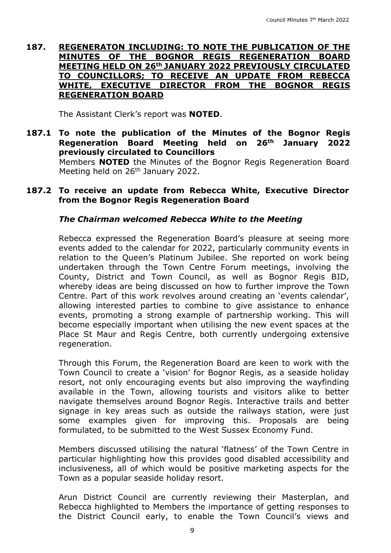#### **187. REGENERATON INCLUDING: TO NOTE THE PUBLICATION OF THE MINUTES OF THE BOGNOR REGIS REGENERATION BOARD MEETING HELD ON 26th JANUARY 2022 PREVIOUSLY CIRCULATED TO COUNCILLORS; TO RECEIVE AN UPDATE FROM REBECCA WHITE, EXECUTIVE DIRECTOR FROM THE BOGNOR REGIS REGENERATION BOARD**

The Assistant Clerk's report was **NOTED**.

## **187.1 To note the publication of the Minutes of the Bognor Regis Regeneration Board Meeting held on 26th January 2022 previously circulated to Councillors**

Members **NOTED** the Minutes of the Bognor Regis Regeneration Board Meeting held on 26<sup>th</sup> January 2022.

#### **187.2 To receive an update from Rebecca White, Executive Director from the Bognor Regis Regeneration Board**

# *The Chairman welcomed Rebecca White to the Meeting*

Rebecca expressed the Regeneration Board's pleasure at seeing more events added to the calendar for 2022, particularly community events in relation to the Queen's Platinum Jubilee. She reported on work being undertaken through the Town Centre Forum meetings, involving the County, District and Town Council, as well as Bognor Regis BID, whereby ideas are being discussed on how to further improve the Town Centre. Part of this work revolves around creating an 'events calendar', allowing interested parties to combine to give assistance to enhance events, promoting a strong example of partnership working. This will become especially important when utilising the new event spaces at the Place St Maur and Regis Centre, both currently undergoing extensive regeneration.

Through this Forum, the Regeneration Board are keen to work with the Town Council to create a 'vision' for Bognor Regis, as a seaside holiday resort, not only encouraging events but also improving the wayfinding available in the Town, allowing tourists and visitors alike to better navigate themselves around Bognor Regis. Interactive trails and better signage in key areas such as outside the railways station, were just some examples given for improving this. Proposals are being formulated, to be submitted to the West Sussex Economy Fund.

Members discussed utilising the natural 'flatness' of the Town Centre in particular highlighting how this provides good disabled accessibility and inclusiveness, all of which would be positive marketing aspects for the Town as a popular seaside holiday resort.

Arun District Council are currently reviewing their Masterplan, and Rebecca highlighted to Members the importance of getting responses to the District Council early, to enable the Town Council's views and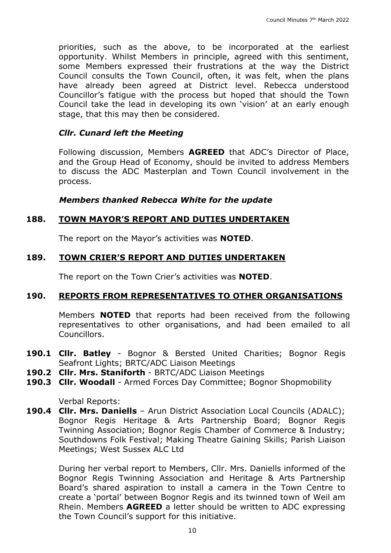priorities, such as the above, to be incorporated at the earliest opportunity. Whilst Members in principle, agreed with this sentiment, some Members expressed their frustrations at the way the District Council consults the Town Council, often, it was felt, when the plans have already been agreed at District level. Rebecca understood Councillor's fatigue with the process but hoped that should the Town Council take the lead in developing its own 'vision' at an early enough stage, that this may then be considered.

#### *Cllr. Cunard left the Meeting*

Following discussion, Members **AGREED** that ADC's Director of Place, and the Group Head of Economy, should be invited to address Members to discuss the ADC Masterplan and Town Council involvement in the process.

*Members thanked Rebecca White for the update*

### **188. TOWN MAYOR'S REPORT AND DUTIES UNDERTAKEN**

The report on the Mayor's activities was **NOTED**.

### **189. TOWN CRIER'S REPORT AND DUTIES UNDERTAKEN**

The report on the Town Crier's activities was **NOTED**.

### **190. REPORTS FROM REPRESENTATIVES TO OTHER ORGANISATIONS**

Members **NOTED** that reports had been received from the following representatives to other organisations, and had been emailed to all Councillors.

- **190.1 Cllr. Batley** Bognor & Bersted United Charities; Bognor Regis Seafront Lights; BRTC/ADC Liaison Meetings
- **190.2 Cllr. Mrs. Staniforth** BRTC/ADC Liaison Meetings
- **190.3 Cllr. Woodall** Armed Forces Day Committee; Bognor Shopmobility

Verbal Reports:

**190.4 Cllr. Mrs. Daniells** – Arun District Association Local Councils (ADALC); Bognor Regis Heritage & Arts Partnership Board; Bognor Regis Twinning Association; Bognor Regis Chamber of Commerce & Industry; Southdowns Folk Festival; Making Theatre Gaining Skills; Parish Liaison Meetings; West Sussex ALC Ltd

During her verbal report to Members, Cllr. Mrs. Daniells informed of the Bognor Regis Twinning Association and Heritage & Arts Partnership Board's shared aspiration to install a camera in the Town Centre to create a 'portal' between Bognor Regis and its twinned town of Weil am Rhein. Members **AGREED** a letter should be written to ADC expressing the Town Council's support for this initiative.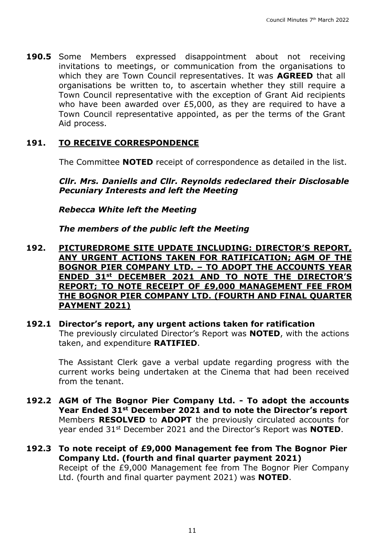**190.5** Some Members expressed disappointment about not receiving invitations to meetings, or communication from the organisations to which they are Town Council representatives. It was **AGREED** that all organisations be written to, to ascertain whether they still require a Town Council representative with the exception of Grant Aid recipients who have been awarded over £5,000, as they are required to have a Town Council representative appointed, as per the terms of the Grant Aid process.

# **191. TO RECEIVE CORRESPONDENCE**

The Committee **NOTED** receipt of correspondence as detailed in the list.

*Cllr. Mrs. Daniells and Cllr. Reynolds redeclared their Disclosable Pecuniary Interests and left the Meeting*

*Rebecca White left the Meeting*

*The members of the public left the Meeting*

- **192. PICTUREDROME SITE UPDATE INCLUDING: DIRECTOR'S REPORT, ANY URGENT ACTIONS TAKEN FOR RATIFICATION; AGM OF THE BOGNOR PIER COMPANY LTD. – TO ADOPT THE ACCOUNTS YEAR ENDED 31st DECEMBER 2021 AND TO NOTE THE DIRECTOR'S REPORT; TO NOTE RECEIPT OF £9,000 MANAGEMENT FEE FROM THE BOGNOR PIER COMPANY LTD. (FOURTH AND FINAL QUARTER PAYMENT 2021)**
- **192.1 Director's report, any urgent actions taken for ratification** The previously circulated Director's Report was **NOTED**, with the actions taken, and expenditure **RATIFIED**.

The Assistant Clerk gave a verbal update regarding progress with the current works being undertaken at the Cinema that had been received from the tenant.

- **192.2 AGM of The Bognor Pier Company Ltd. - To adopt the accounts Year Ended 31st December 2021 and to note the Director's report** Members **RESOLVED** to **ADOPT** the previously circulated accounts for year ended 31st December 2021 and the Director's Report was **NOTED**.
- **192.3 To note receipt of £9,000 Management fee from The Bognor Pier Company Ltd. (fourth and final quarter payment 2021)** Receipt of the £9,000 Management fee from The Bognor Pier Company Ltd. (fourth and final quarter payment 2021) was **NOTED**.